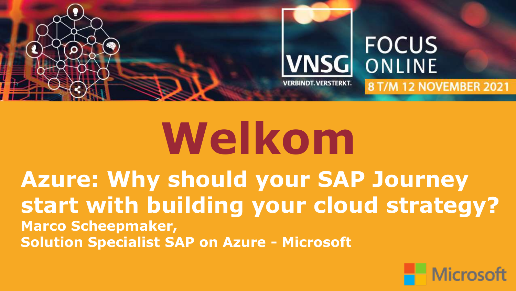

# **Welkom**

**Azure: Why should your SAP Journey start with building your cloud strategy? Marco Scheepmaker, Solution Specialist SAP on Azure - Microsoft**

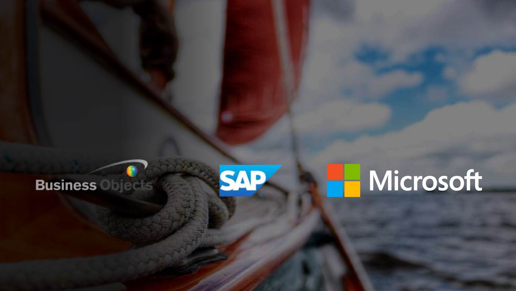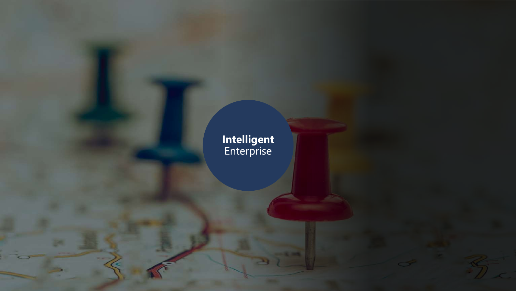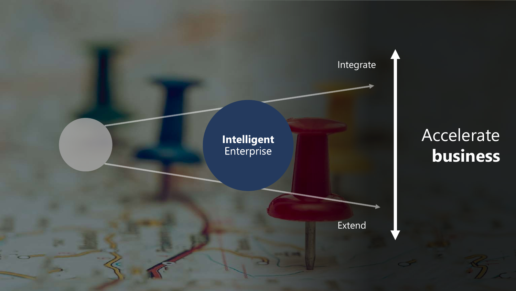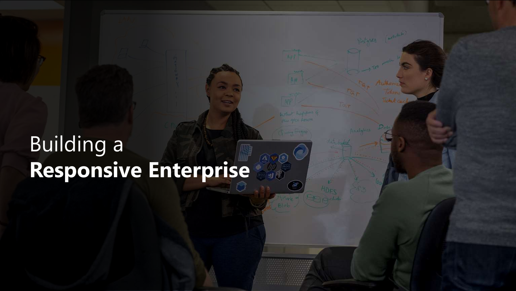### Building a **Responsive Enterprise**

刘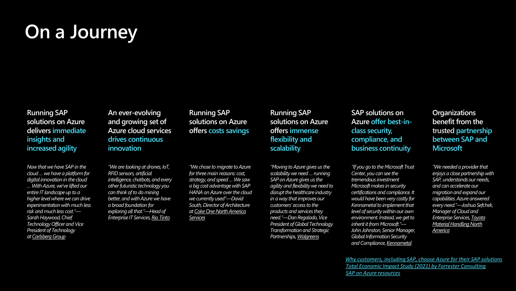#### **On a Journey**

**Running SAP solutions on Azure delivers immediate insights and increased agility**

*Now that we have SAP in the cloud … we have a platform for digital innovation in the cloud … With Azure, we've lifted our entire IT landscape up to a higher level where we can drive experimentation with much less risk and much less cost."— Sarah Haywood, Chief Technology Officer and Vice President of Technology at [Carlsberg Group](https://customers.microsoft.com/en-us/story/carlsberg-consumer-goods-azure)*

**An ever-evolving and growing set of Azure cloud services drives continuous innovation**

*"We are looking at drones, IoT, RFID sensors, artificial intelligence, chatbots, and every other futuristic technology you can think of to do mining better, and with Azure we have a broad foundation for exploring all that."—Head of Enterprise IT Services,[Rio Tinto](https://customers.microsoft.com/en-us/story/rio-tinto-mining-azure)*

**Running SAP solutions on Azure offers costs savings**

*"We chose to migrate to Azure for three main reasons: cost, strategy, and speed … We saw a big cost advantage with SAP HANA on Azure over the cloud we currently used"—David South, Director of Architecture at [Coke One North America](https://customers.microsoft.com/it-it/story/cona-services-partner-professional-services-azure)  Services*

**Running SAP solutions on Azure offers immense flexibility and scalability**

*"Moving to Azure gives us the scalability we need … running SAP on Azure gives us the agility and flexibility we need to disrupt the healthcare industry in a way that improves our customers' access to the products and services they need."—Dan Regalado, Vice President of Global Technology Transformation and Strategic Partnerships,[Walgreens](https://customers.microsoft.com/en-US/story/792289-walgreens-boots-alliance-retailers-azure-sap-migration)*

**SAP solutions on Azure offer best-inclass security, compliance, and business continuity**

*"If you go to the Microsoft Trust Center, you can see the tremendous investment Microsoft makes in security certifications and compliance. It would have been very costly for Kennametal to implement that level of security within our own environment. Instead, we get to inherit it from Microsoft."— John Johnston, Senior Manager, Global Information Security and Compliance,[Kennametal](https://customers.microsoft.com/en-us/story/766039-kennametal-manufacturing-azure-digital-transformation)*

**Organizations benefit from the trusted partnership between SAP and Microsoft**

*"We needed a provider that enjoys a close partnership with SAP, understands our needs, and can accelerate our migration and expand our capabilities. Azure answered every need."—Joshua Sefchek, Manager of Cloud and Enterprise Services, Toyota [Material Handling North](https://customers.microsoft.com/en-us/story/795284-toyota-material-handling-north-america-manufacturing-sap-on-azure)  America*

*[Total Economic Impact Study \(2021\) by Forrester Consulting](https://azure.microsoft.com/en-us/resources/sap-on-azure-forrester-tei/) SAP on Azure [resources](https://azure.microsoft.com/en-us/solutions/sap/) [Why customers, including SAP, choose Azure for their SAP solutions](https://azure.microsoft.com/en-us/blog/why-customers-including-sap-choose-azure-for-their-sap-solutions/)*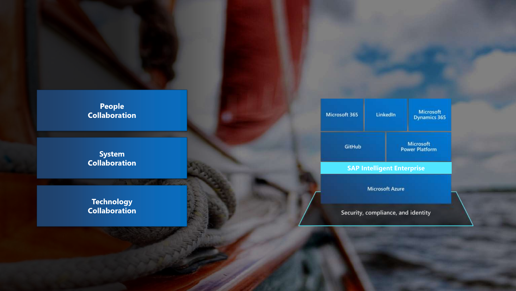#### People<br>Collaboration

System<br>Collaboration

Technology<br>Collaboration

| Microsoft 365 | LinkedIn                                                    | <b>Microsoft</b><br><b>Dynamics 365</b>   |
|---------------|-------------------------------------------------------------|-------------------------------------------|
| GitHub        |                                                             | <b>Microsoft</b><br><b>Power Platform</b> |
|               | <b>SAP Intelligent Enterprise</b><br><b>Microsoft Azure</b> |                                           |
|               | Security, compliance, and identity                          |                                           |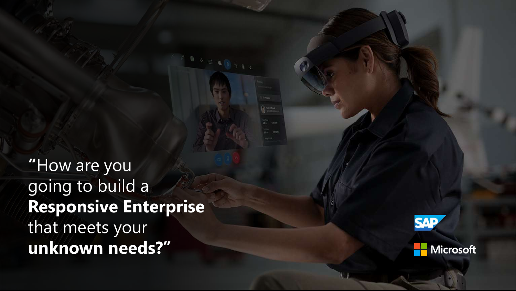**"**How are you going to build a **Responsive Enterprise**  that meets your **unknown needs?"**



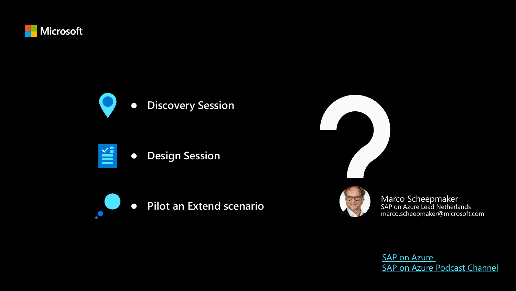

[SAP on Azure](https://azure.microsoft.com/en-us/solutions/sap/)  SAP on Azure [Podcast Channel](https://www.youtube.com/c/SAPonAzure)